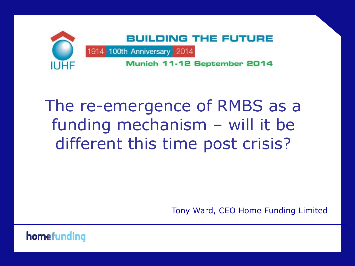

# The re-emergence of RMBS as a funding mechanism – will it be different this time post crisis?

Tony Ward, CEO Home Funding Limited

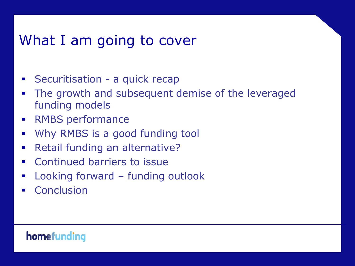# What I am going to cover

- **Securitisation a quick recap**
- The growth and subsequent demise of the leveraged funding models
- **RMBS** performance
- Why RMBS is a good funding tool
- **Retail funding an alternative?**
- **Exercise Continued barriers to issue**
- Looking forward funding outlook
- **Conclusion**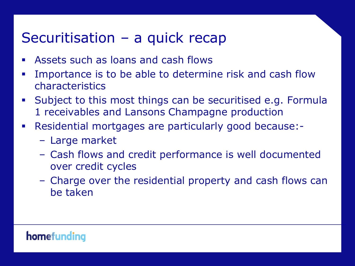### Securitisation – a quick recap

- Assets such as loans and cash flows
- Importance is to be able to determine risk and cash flow characteristics
- Subject to this most things can be securitised e.g. Formula 1 receivables and Lansons Champagne production
- Residential mortgages are particularly good because:-
	- Large market
	- Cash flows and credit performance is well documented over credit cycles
	- Charge over the residential property and cash flows can be taken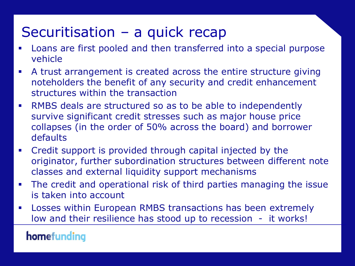# Securitisation – a quick recap

- Loans are first pooled and then transferred into a special purpose vehicle
- A trust arrangement is created across the entire structure giving noteholders the benefit of any security and credit enhancement structures within the transaction
- RMBS deals are structured so as to be able to independently survive significant credit stresses such as major house price collapses (in the order of 50% across the board) and borrower defaults
- Credit support is provided through capital injected by the originator, further subordination structures between different note classes and external liquidity support mechanisms
- The credit and operational risk of third parties managing the issue is taken into account
- Losses within European RMBS transactions has been extremely low and their resilience has stood up to recession - it works!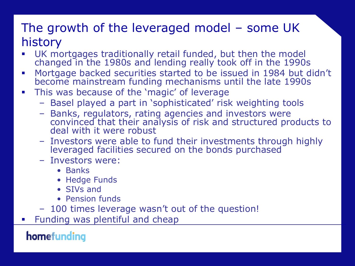### The growth of the leveraged model – some UK history

- UK mortgages traditionally retail funded, but then the model changed in the 1980s and lending really took off in the 1990s
- Mortgage backed securities started to be issued in 1984 but didn't become mainstream funding mechanisms until the late 1990s
- **This was because of the 'magic' of leverage** 
	- Basel played a part in 'sophisticated' risk weighting tools
	- Banks, regulators, rating agencies and investors were convinced that their analysis of risk and structured products to deal with it were robust
	- Investors were able to fund their investments through highly leveraged facilities secured on the bonds purchased
	- Investors were:
		- Banks
		- Hedge Funds
		- SIVs and
		- Pension funds
	- 100 times leverage wasn't out of the question!
- Funding was plentiful and cheap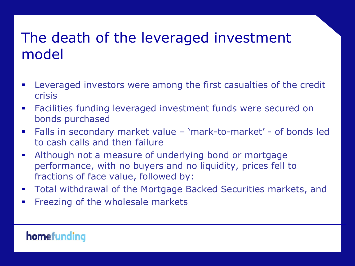# The death of the leveraged investment model

- Leveraged investors were among the first casualties of the credit crisis
- Facilities funding leveraged investment funds were secured on bonds purchased
- Falls in secondary market value 'mark-to-market' of bonds led to cash calls and then failure
- Although not a measure of underlying bond or mortgage performance, with no buyers and no liquidity, prices fell to fractions of face value, followed by:
- Total withdrawal of the Mortgage Backed Securities markets, and
- **Filter** Freezing of the wholesale markets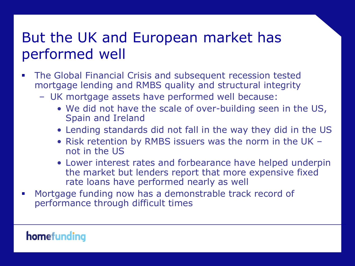# But the UK and European market has performed well

- The Global Financial Crisis and subsequent recession tested mortgage lending and RMBS quality and structural integrity
	- UK mortgage assets have performed well because:
		- We did not have the scale of over-building seen in the US, Spain and Ireland
		- Lending standards did not fall in the way they did in the US
		- Risk retention by RMBS issuers was the norm in the UK not in the US
		- Lower interest rates and forbearance have helped underpin the market but lenders report that more expensive fixed rate loans have performed nearly as well
- **Mortgage funding now has a demonstrable track record of** performance through difficult times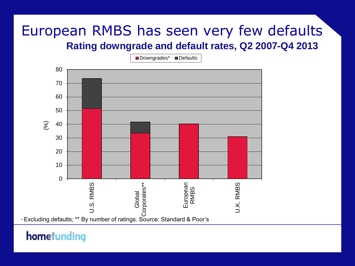### European RMBS has seen very few defaults **Rating downgrade and default rates, Q2 2007-Q4 2013**

Downgrades\* Defaults

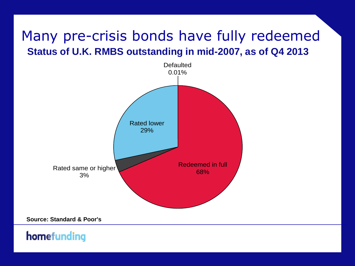### Many pre-crisis bonds have fully redeemed **Status of U.K. RMBS outstanding in mid-2007, as of Q4 2013**



**Source: Standard & Poor's**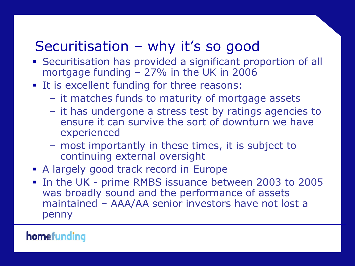# Securitisation – why it's so good

- Securitisation has provided a significant proportion of all mortgage funding – 27% in the UK in 2006
- **It is excellent funding for three reasons:** 
	- it matches funds to maturity of mortgage assets
	- it has undergone a stress test by ratings agencies to ensure it can survive the sort of downturn we have experienced
	- most importantly in these times, it is subject to continuing external oversight
- A largely good track record in Europe
- In the UK prime RMBS issuance between 2003 to 2005 was broadly sound and the performance of assets maintained – AAA/AA senior investors have not lost a penny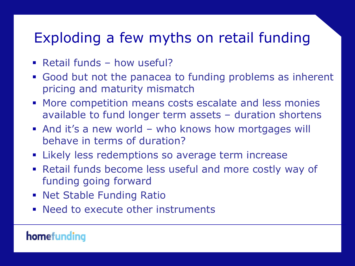# Exploding a few myths on retail funding

- **Retail funds how useful?**
- Good but not the panacea to funding problems as inherent pricing and maturity mismatch
- **More competition means costs escalate and less monies** available to fund longer term assets – duration shortens
- And it's a new world who knows how mortgages will behave in terms of duration?
- **EXALLE 1** Likely less redemptions so average term increase
- Retail funds become less useful and more costly way of funding going forward
- **Net Stable Funding Ratio**
- **Need to execute other instruments**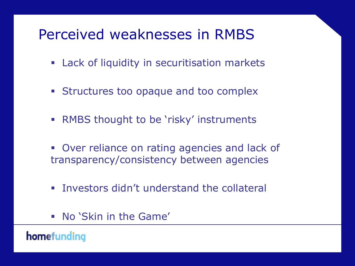# Perceived weaknesses in RMBS

- Lack of liquidity in securitisation markets
- **Structures too opaque and too complex**
- **RMBS thought to be 'risky' instruments**
- Over reliance on rating agencies and lack of transparency/consistency between agencies
- **Investors didn't understand the collateral**
- No 'Skin in the Game'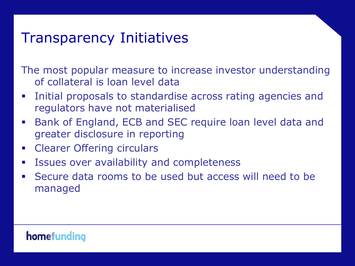### Transparency Initiatives

The most popular measure to increase investor understanding of collateral is loan level data

- **Initial proposals to standardise across rating agencies and** regulators have not materialised
- Bank of England, ECB and SEC require loan level data and greater disclosure in reporting
- **EXECUTE: Clearer Offering circulars**
- **EXECTE ISSUES OVER AVAILABILITY AND COMPLEMATES**
- Secure data rooms to be used but access will need to be managed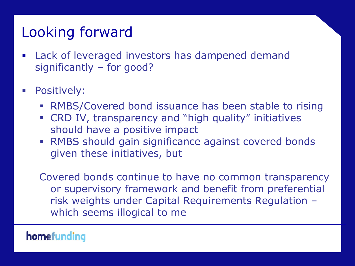# Looking forward

- **EXEC** Lack of leveraged investors has dampened demand significantly – for good?
- **Positively:** 
	- RMBS/Covered bond issuance has been stable to rising
	- CRD IV, transparency and "high quality" initiatives should have a positive impact
	- RMBS should gain significance against covered bonds given these initiatives, but

Covered bonds continue to have no common transparency or supervisory framework and benefit from preferential risk weights under Capital Requirements Regulation – which seems illogical to me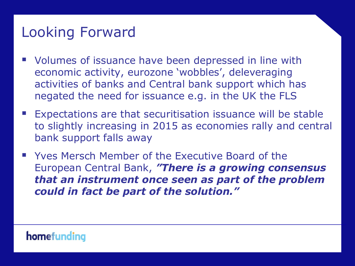# Looking Forward

- Volumes of issuance have been depressed in line with economic activity, eurozone 'wobbles', deleveraging activities of banks and Central bank support which has negated the need for issuance e.g. in the UK the FLS
- **Expectations are that securitisation issuance will be stable** to slightly increasing in 2015 as economies rally and central bank support falls away
- **Now Your Member of the Executive Board of the Executive Board of the** European Central Bank, *"There is a growing consensus that an instrument once seen as part of the problem could in fact be part of the solution."*